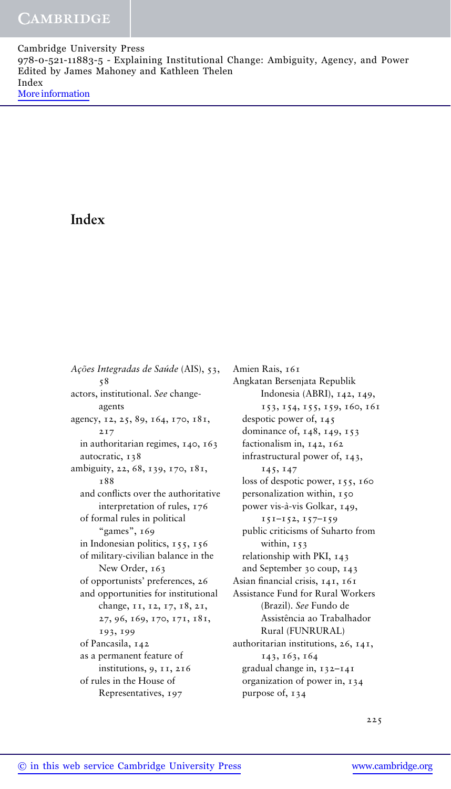Cambridge University Press 978-0-521-11883-5 - Explaining Institutional Change: Ambiguity, Agency, and Power Edited by James Mahoney and Kathleen Thelen Index [More information](http://www.cambridge.org/9780521118835)

# **Index**

*Ac¸oes Integradas de Sa ˜ ude ´* (AIS), 53, 58 actors, institutional. *See* changeagents agency, 12, 25, 89, 164, 170, 181, 217 in authoritarian regimes, 140, 163 autocratic, 138 ambiguity, 22, 68, 139, 170, 181, 188 and conflicts over the authoritative interpretation of rules, 176 of formal rules in political "games", 169 in Indonesian politics, 155, 156 of military-civilian balance in the New Order, 163 of opportunists' preferences, 26 and opportunities for institutional change, 11, 12, 17, 18, 21, 27, 96, 169, 170, 171, 181, 193, 199 of Pancasila, 142 as a permanent feature of institutions, 9, 11, 216 of rules in the House of Representatives, 197

Amien Rais, 161 Angkatan Bersenjata Republik Indonesia (ABRI), 142, 149, 153, 154, 155, 159, 160, 161 despotic power of, 145 dominance of, 148, 149, 153 factionalism in, 142, 162 infrastructural power of, 143, 145, 147 loss of despotic power, 155, 160 personalization within, 150 power vis-à-vis Golkar, 149, 151–152, 157–159 public criticisms of Suharto from within, 153 relationship with PKI, 143 and September 30 coup, 143 Asian financial crisis, 141, 161 Assistance Fund for Rural Workers (Brazil). *See* Fundo de Assistencia ao Trabalhador ˆ Rural (FUNRURAL) authoritarian institutions, 26, 141, 143, 163, 164 gradual change in, 132–141 organization of power in, 134 purpose of, 134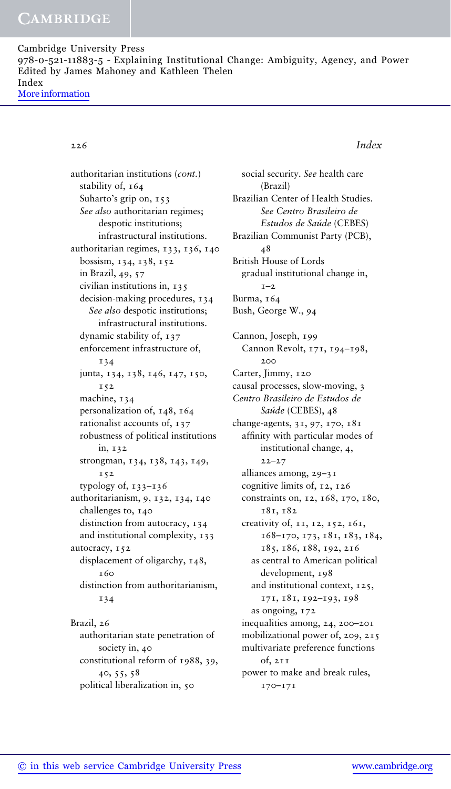978-0-521-11883-5 - Explaining Institutional Change: Ambiguity, Agency, and Power Edited by James Mahoney and Kathleen Thelen Index

[More information](http://www.cambridge.org/9780521118835)

226 *Index*

authoritarian institutions (*cont.*) stability of, 164 Suharto's grip on, 153 *See also* authoritarian regimes; despotic institutions; infrastructural institutions. authoritarian regimes, 133, 136, 140 bossism, 134, 138, 152 in Brazil, 49, 57 civilian institutions in, 135 decision-making procedures, 134 *See also* despotic institutions; infrastructural institutions. dynamic stability of, 137 enforcement infrastructure of, 134 junta, 134, 138, 146, 147, 150, 152 machine, 134 personalization of, 148, 164 rationalist accounts of, 137 robustness of political institutions in, 132 strongman, 134, 138, 143, 149, 152 typology of,  $133 - 136$ authoritarianism, 9, 132, 134, 140 challenges to, 140 distinction from autocracy, 134 and institutional complexity, 133 autocracy, 152 displacement of oligarchy, 148, 160 distinction from authoritarianism, 134 Brazil, 26 authoritarian state penetration of society in, 40 constitutional reform of 1988, 39, 40, 55, 58

political liberalization in, 50

social security. *See* health care (Brazil) Brazilian Center of Health Studies. *See Centro Brasileiro de Estudos de Saude ´* (CEBES) Brazilian Communist Party (PCB), 48 British House of Lords gradual institutional change in,  $T-2$ Burma, 164 Bush, George W., 94 Cannon, Joseph, 199 Cannon Revolt, 171, 194–198, 200 Carter, Jimmy, 120 causal processes, slow-moving, 3 *Centro Brasileiro de Estudos de* Saúde (CEBES), 48 change-agents, 31, 97, 170, 181 affinity with particular modes of institutional change, 4,  $22 - 27$ alliances among, 29–31 cognitive limits of, 12, 126 constraints on, 12, 168, 170, 180, 181, 182 creativity of, 11, 12, 152, 161, 168–170, 173, 181, 183, 184, 185, 186, 188, 192, 216 as central to American political development, 198 and institutional context, 125, 171, 181, 192–193, 198 as ongoing, 172 inequalities among, 24, 200–201 mobilizational power of, 209, 215 multivariate preference functions of, 211 power to make and break rules, 170–171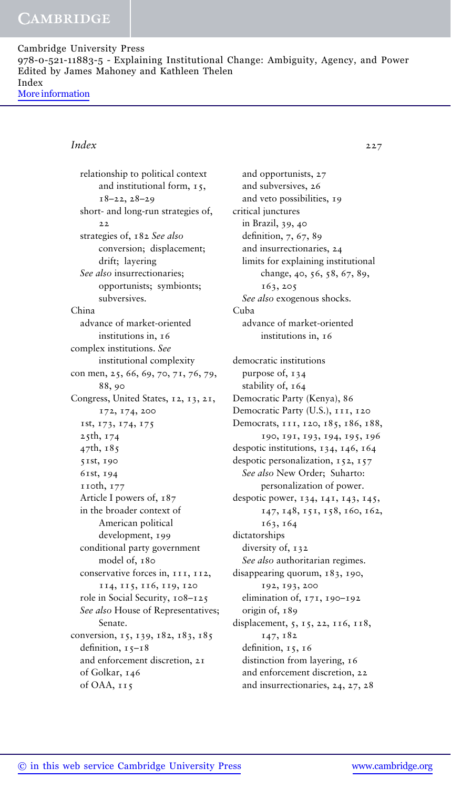978-0-521-11883-5 - Explaining Institutional Change: Ambiguity, Agency, and Power Edited by James Mahoney and Kathleen Thelen Index

[More information](http://www.cambridge.org/9780521118835)

## *Index* 227

relationship to political context and institutional form, 15, 18–22, 28–29 short- and long-run strategies of, 22 strategies of, 182 *See also* conversion; displacement; drift; layering *See also* insurrectionaries; opportunists; symbionts; subversives. China advance of market-oriented institutions in, 16 complex institutions. *See* institutional complexity con men, 25, 66, 69, 70, 71, 76, 79, 88, 90 Congress, United States, 12, 13, 21, 172, 174, 200 1st, 173, 174, 175 25th, 174 47th, 185 51st, 190 61st, 194 110th, 177 Article I powers of, 187 in the broader context of American political development, 199 conditional party government model of, 180 conservative forces in, 111, 112, 114, 115, 116, 119, 120 role in Social Security, 108–125 *See also* House of Representatives; Senate. conversion, 15, 139, 182, 183, 185 definition,  $15-18$ and enforcement discretion, 21 of Golkar, 146 of OAA, 115

and opportunists, 27 and subversives, 26 and veto possibilities, 19 critical junctures in Brazil, 39, 40 definition, 7, 67, 89 and insurrectionaries, 24 limits for explaining institutional change, 40, 56, 58, 67, 89, 163, 205 *See also* exogenous shocks. Cuba advance of market-oriented institutions in, 16 democratic institutions purpose of, 134 stability of,  $164$ Democratic Party (Kenya), 86 Democratic Party (U.S.), 111, 120 Democrats, 111, 120, 185, 186, 188, 190, 191, 193, 194, 195, 196 despotic institutions, 134, 146, 164 despotic personalization, 152, 157 *See also* New Order; Suharto: personalization of power. despotic power, 134, 141, 143, 145, 147, 148, 151, 158, 160, 162, 163, 164 dictatorships diversity of, 132 *See also* authoritarian regimes. disappearing quorum, 183, 190, 192, 193, 200 elimination of, 171, 190–192 origin of, 189 displacement, 5, 15, 22, 116, 118, 147, 182 definition, 15, 16 distinction from layering, 16 and enforcement discretion, 22 and insurrectionaries, 24, 27, 28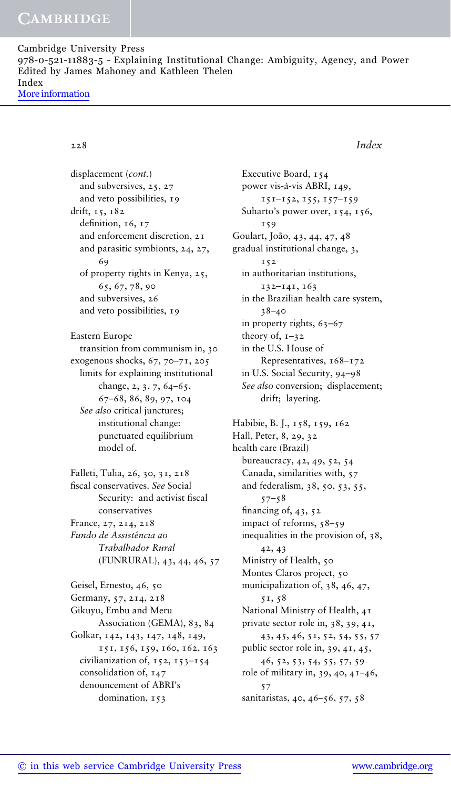978-0-521-11883-5 - Explaining Institutional Change: Ambiguity, Agency, and Power Edited by James Mahoney and Kathleen Thelen Index

[More information](http://www.cambridge.org/9780521118835)

228 *Index*

displacement (*cont.*) and subversives, 25, 27 and veto possibilities, 19 drift, 15, 182 definition, 16, 17 and enforcement discretion, 21 and parasitic symbionts, 24, 27, 69 of property rights in Kenya, 25, 65, 67, 78, 90 and subversives, 26 and veto possibilities, 19 Eastern Europe transition from communism in, 30 exogenous shocks, 67, 70–71, 205 limits for explaining institutional change, 2, 3, 7, 64–65, 67–68, 86, 89, 97, 104 *See also* critical junctures; institutional change: punctuated equilibrium model of. Falleti, Tulia, 26, 30, 31, 218 fiscal conservatives. *See* Social Security: and activist fiscal conservatives France, 27, 214, 218 *Fundo de Assistencia ao ˆ Trabalhador Rural* (FUNRURAL), 43, 44, 46, 57 Geisel, Ernesto, 46, 50 Germany, 57, 214, 218 Gikuyu, Embu and Meru Association (GEMA), 83, 84 Golkar, 142, 143, 147, 148, 149, 151, 156, 159, 160, 162, 163 civilianization of, 152, 153–154 consolidation of, 147

Executive Board, 154 power vis-à-vis ABRI, 149, 151–152, 155, 157–159 Suharto's power over, 154, 156, 159 Goulart, João, 43, 44, 47, 48 gradual institutional change, 3, 152 in authoritarian institutions, 132–141, 163 in the Brazilian health care system, 38–40 in property rights, 63–67 theory of,  $1-32$ in the U.S. House of Representatives, 168–172 in U.S. Social Security, 94–98 *See also* conversion; displacement; drift; layering.

Habibie, B. J., 158, 159, 162 Hall, Peter, 8, 29, 32 health care (Brazil) bureaucracy, 42, 49, 52, 54 Canada, similarities with, 57 and federalism, 38, 50, 53, 55, 57–58 financing of, 43, 52 impact of reforms, 58–59 inequalities in the provision of, 38, 42, 43 Ministry of Health, 50 Montes Claros project, 50 municipalization of, 38, 46, 47, 51, 58 National Ministry of Health, 41 private sector role in, 38, 39, 41, 43, 45, 46, 51, 52, 54, 55, 57 public sector role in, 39, 41, 45, 46, 52, 53, 54, 55, 57, 59 role of military in,  $39, 40, 41-46$ , 57 sanitaristas, 40, 46–56, 57, 58

denouncement of ABRI's domination, 153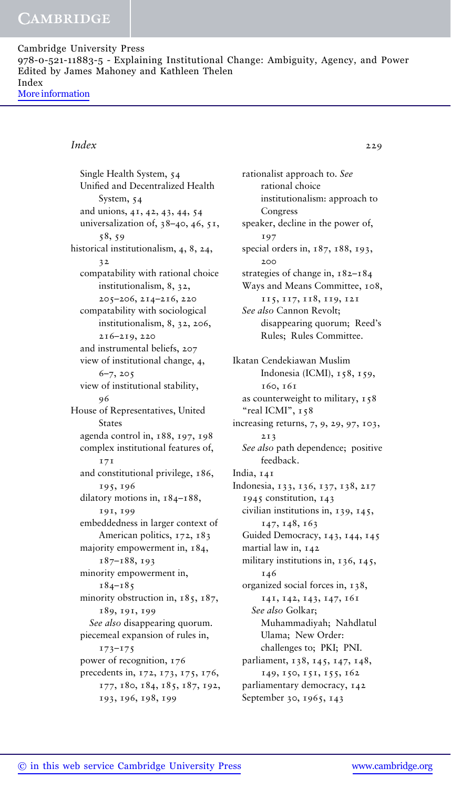978-0-521-11883-5 - Explaining Institutional Change: Ambiguity, Agency, and Power Edited by James Mahoney and Kathleen Thelen Index

[More information](http://www.cambridge.org/9780521118835)

## *Index* 229

Single Health System, 54 Unified and Decentralized Health System, 54 and unions, 41, 42, 43, 44, 54 universalization of, 38–40, 46, 51, 58, 59 historical institutionalism, 4, 8, 24, 32 compatability with rational choice institutionalism, 8, 32, 205–206, 214–216, 220 compatability with sociological institutionalism, 8, 32, 206, 216–219, 220 and instrumental beliefs, 207 view of institutional change, 4, 6–7, 205 view of institutional stability, 96 House of Representatives, United States agenda control in, 188, 197, 198 complex institutional features of, 171 and constitutional privilege, 186, 195, 196 dilatory motions in, 184–188, 191, 199 embeddedness in larger context of American politics, 172, 183 majority empowerment in, 184, 187–188, 193 minority empowerment in, 184–185 minority obstruction in, 185, 187, 189, 191, 199 *See also* disappearing quorum. piecemeal expansion of rules in, 173–175 power of recognition, 176 precedents in, 172, 173, 175, 176, 177, 180, 184, 185, 187, 192, 193, 196, 198, 199

rationalist approach to. *See* rational choice institutionalism: approach to Congress speaker, decline in the power of, 197 special orders in, 187, 188, 193,  $200$ strategies of change in, 182–184 Ways and Means Committee, 108, 115, 117, 118, 119, 121 *See also* Cannon Revolt; disappearing quorum; Reed's Rules; Rules Committee. Ikatan Cendekiawan Muslim Indonesia (ICMI), 158, 159, 160, 161 as counterweight to military, 158 "real ICMI", 158 increasing returns, 7, 9, 29, 97, 103, 213 *See also* path dependence; positive feedback. India, 141 Indonesia, 133, 136, 137, 138, 217 1945 constitution, 143 civilian institutions in, 139, 145, 147, 148, 163 Guided Democracy, 143, 144, 145 martial law in, 142 military institutions in, 136, 145, 146 organized social forces in, 138, 141, 142, 143, 147, 161 *See also* Golkar; Muhammadiyah; Nahdlatul Ulama; New Order: challenges to; PKI; PNI. parliament, 138, 145, 147, 148, 149, 150, 151, 155, 162 parliamentary democracy, 142 September 30, 1965, 143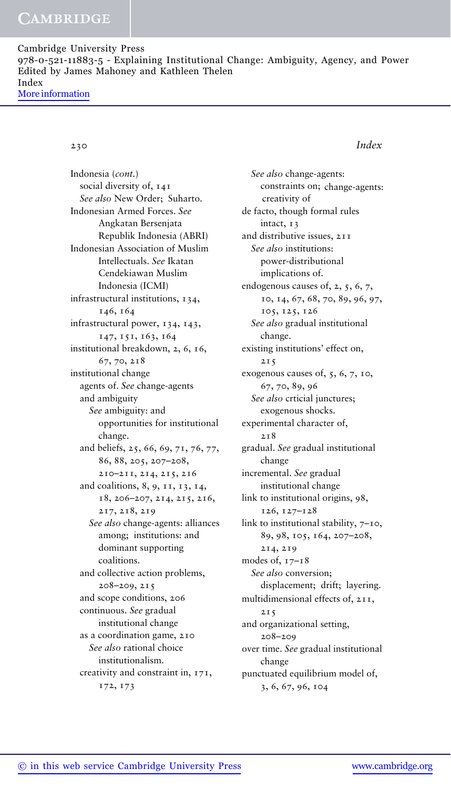978-0-521-11883-5 - Explaining Institutional Change: Ambiguity, Agency, and Power Edited by James Mahoney and Kathleen Thelen Index

[More information](http://www.cambridge.org/9780521118835)

230 *Index*

Indonesia (*cont.*) social diversity of, 141 *See also* New Order; Suharto. Indonesian Armed Forces. *See* Angkatan Bersenjata Republik Indonesia (ABRI) Indonesian Association of Muslim Intellectuals. *See* Ikatan Cendekiawan Muslim Indonesia (ICMI) infrastructural institutions, 134, 146, 164 infrastructural power, 134, 143, 147, 151, 163, 164 institutional breakdown, 2, 6, 16, 67, 70, 218 institutional change agents of. *See* change-agents and ambiguity *See* ambiguity: and opportunities for institutional change. and beliefs, 25, 66, 69, 71, 76, 77, 86, 88, 205, 207–208, 210–211, 214, 215, 216 and coalitions, 8, 9, 11, 13, 14, 18, 206–207, 214, 215, 216, 217, 218, 219 *See also* change-agents: alliances among; institutions: and dominant supporting coalitions. and collective action problems, 208–209, 215 and scope conditions, 206 continuous. *See* gradual institutional change as a coordination game, 210 *See also* rational choice institutionalism. creativity and constraint in, 171, 172, 173

*See also* change-agents: constraints on; change-agents: creativity of de facto, though formal rules intact, 13 and distributive issues, 211 *See also* institutions: power-distributional implications of. endogenous causes of, 2, 5, 6, 7, 10, 14, 67, 68, 70, 89, 96, 97, 105, 125, 126 *See also* gradual institutional change. existing institutions' effect on, 215 exogenous causes of, 5, 6, 7, 10, 67, 70, 89, 96 *See also* crticial junctures; exogenous shocks. experimental character of, 218 gradual. *See* gradual institutional change incremental. *See* gradual institutional change link to institutional origins, 98, 126, 127–128 link to institutional stability, 7–10, 89, 98, 105, 164, 207–208, 214, 219 modes of,  $17-18$ *See also* conversion; displacement; drift; layering. multidimensional effects of, 211, 215 and organizational setting, 208–209 over time. *See* gradual institutional change punctuated equilibrium model of, 3, 6, 67, 96, 104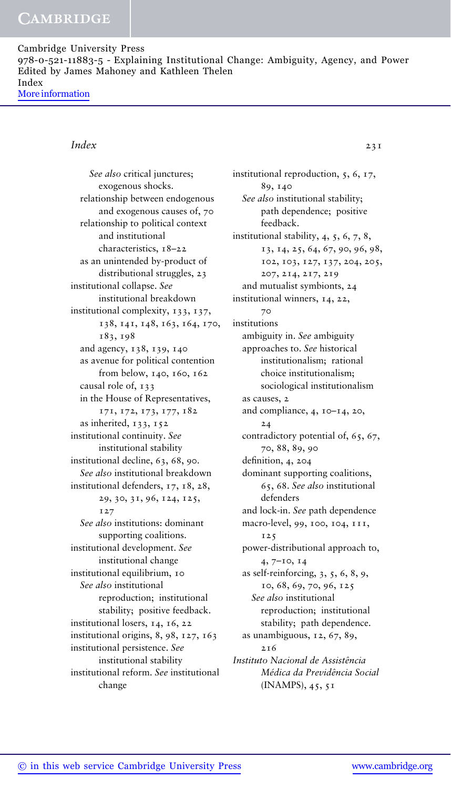978-0-521-11883-5 - Explaining Institutional Change: Ambiguity, Agency, and Power Edited by James Mahoney and Kathleen Thelen Index

[More information](http://www.cambridge.org/9780521118835)

## *Index* 231

*See also* critical junctures; exogenous shocks. relationship between endogenous and exogenous causes of, 70 relationship to political context and institutional characteristics, 18–22 as an unintended by-product of distributional struggles, 23 institutional collapse. *See* institutional breakdown institutional complexity, 133, 137, 138, 141, 148, 163, 164, 170, 183, 198 and agency, 138, 139, 140 as avenue for political contention from below, 140, 160, 162 causal role of, 133 in the House of Representatives, 171, 172, 173, 177, 182 as inherited, 133, 152 institutional continuity. *See* institutional stability institutional decline, 63, 68, 90. *See also* institutional breakdown institutional defenders, 17, 18, 28, 29, 30, 31, 96, 124, 125, 127 *See also* institutions: dominant supporting coalitions. institutional development. *See* institutional change institutional equilibrium, 10 *See also* institutional reproduction; institutional stability; positive feedback. institutional losers, 14, 16, 22 institutional origins, 8, 98, 127, 163 institutional persistence. *See* institutional stability institutional reform. *See* institutional change

institutional reproduction, 5, 6, 17, 89, 140 *See also* institutional stability; path dependence; positive feedback. institutional stability, 4, 5, 6, 7, 8, 13, 14, 25, 64, 67, 90, 96, 98, 102, 103, 127, 137, 204, 205, 207, 214, 217, 219 and mutualist symbionts, 24 institutional winners, 14, 22, 70 institutions ambiguity in. *See* ambiguity approaches to. *See* historical institutionalism; rational choice institutionalism; sociological institutionalism as causes, 2 and compliance, 4, 10–14, 20, 24 contradictory potential of, 65, 67, 70, 88, 89, 90 definition, 4, 204 dominant supporting coalitions, 65, 68. *See also* institutional defenders and lock-in. *See* path dependence macro-level, 99, 100, 104, 111, 125 power-distributional approach to, 4, 7–10, 14 as self-reinforcing, 3, 5, 6, 8, 9, 10, 68, 69, 70, 96, 125 *See also* institutional reproduction; institutional stability; path dependence. as unambiguous, 12, 67, 89,  $2.76$ *Instituto Nacional de Assistencia ˆ*  $M$ édica da Previdência Social (INAMPS), 45, 51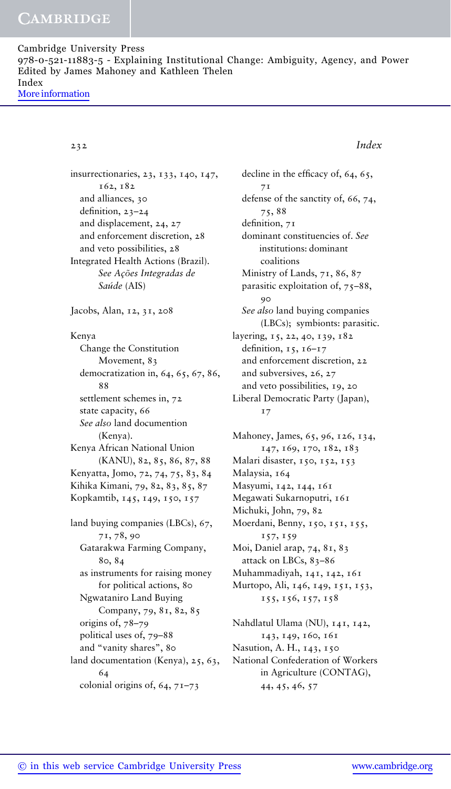## **CAMBRIDGE**

Cambridge University Press

978-0-521-11883-5 - Explaining Institutional Change: Ambiguity, Agency, and Power Edited by James Mahoney and Kathleen Thelen Index

[More information](http://www.cambridge.org/9780521118835)

232 *Index*

insurrectionaries, 23, 133, 140, 147, 162, 182 and alliances, 30 definition, 23–24 and displacement, 24, 27 and enforcement discretion, 28 and veto possibilities, 28 Integrated Health Actions (Brazil).  $See A c\tilde{o}es Integradas de$ *Saude ´* (AIS) Jacobs, Alan, 12, 31, 208 Kenya Change the Constitution Movement, 83 democratization in, 64, 65, 67, 86, 88 settlement schemes in, 72 state capacity, 66 *See also* land documention (Kenya). Kenya African National Union (KANU), 82, 85, 86, 87, 88 Kenyatta, Jomo, 72, 74, 75, 83, 84 Kihika Kimani, 79, 82, 83, 85, 87 Kopkamtib, 145, 149, 150, 157 land buying companies (LBCs), 67, 71, 78, 90 Gatarakwa Farming Company, 80, 84 as instruments for raising money for political actions, 80 Ngwataniro Land Buying Company, 79, 81, 82, 85 origins of, 78–79 political uses of, 79–88 and "vanity shares", 80 land documentation (Kenya), 25, 63, 64 colonial origins of, 64, 71–73

decline in the efficacy of, 64, 65, 71 defense of the sanctity of, 66, 74, 75, 88 definition, 71 dominant constituencies of. *See* institutions: dominant coalitions Ministry of Lands, 71, 86, 87 parasitic exploitation of, 75–88, 90 *See also* land buying companies (LBCs); symbionts: parasitic. layering, 15, 22, 40, 139, 182 definition,  $15$ ,  $16-17$ and enforcement discretion, 22 and subversives, 26, 27 and veto possibilities, 19, 20 Liberal Democratic Party (Japan), 17

Mahoney, James, 65, 96, 126, 134, 147, 169, 170, 182, 183 Malari disaster, 150, 152, 153 Malaysia, 164 Masyumi, 142, 144, 161 Megawati Sukarnoputri, 161 Michuki, John, 79, 82 Moerdani, Benny, 150, 151, 155, 157, 159 Moi, Daniel arap, 74, 81, 83 attack on LBCs, 83–86 Muhammadiyah, 141, 142, 161 Murtopo, Ali, 146, 149, 151, 153, 155, 156, 157, 158 Nahdlatul Ulama (NU), 141, 142,

143, 149, 160, 161 Nasution, A. H., 143, 150 National Confederation of Workers in Agriculture (CONTAG), 44, 45, 46, 57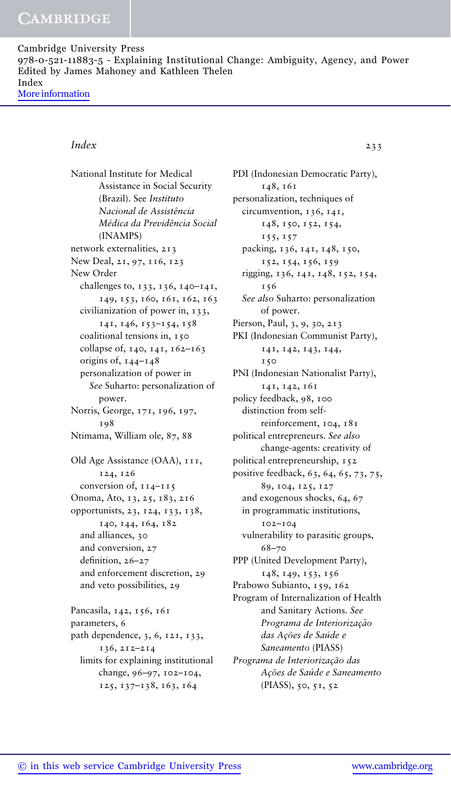978-0-521-11883-5 - Explaining Institutional Change: Ambiguity, Agency, and Power Edited by James Mahoney and Kathleen Thelen Index

[More information](http://www.cambridge.org/9780521118835)

## *Index* 233

National Institute for Medical Assistance in Social Security (Brazil). See *Instituto Nacional de Assistencia ˆ Medica da Previd ´ encia Social ˆ* (INAMPS) network externalities, 213 New Deal, 21, 97, 116, 123 New Order challenges to, 133, 136, 140–141, 149, 153, 160, 161, 162, 163 civilianization of power in, 133, 141, 146, 153–154, 158 coalitional tensions in, 150 collapse of, 140, 141, 162–163 origins of, 144–148 personalization of power in *See* Suharto: personalization of power. Norris, George, 171, 196, 197, 198 Ntimama, William ole, 87, 88 Old Age Assistance (OAA), 111, 124, 126 conversion of, 114–115 Onoma, Ato, 13, 25, 183, 216 opportunists, 23, 124, 133, 138, 140, 144, 164, 182 and alliances, 30 and conversion, 27 definition, 26–27 and enforcement discretion, 29 and veto possibilities, 29 Pancasila, 142, 156, 161

parameters, 6 path dependence, 3, 6, 121, 133, 136, 212–214 limits for explaining institutional change, 96–97, 102–104, 125, 137–138, 163, 164

PDI (Indonesian Democratic Party), 148, 161 personalization, techniques of circumvention, 136, 141, 148, 150, 152, 154, 155, 157 packing, 136, 141, 148, 150, 152, 154, 156, 159 rigging, 136, 141, 148, 152, 154, 156 *See also* Suharto: personalization of power. Pierson, Paul, 3, 9, 30, 213 PKI (Indonesian Communist Party), 141, 142, 143, 144, 150 PNI (Indonesian Nationalist Party), 141, 142, 161 policy feedback, 98, 100 distinction from selfreinforcement, 104, 181 political entrepreneurs. *See also* change-agents: creativity of political entrepreneurship, 152 positive feedback, 63, 64, 65, 73, 75, 89, 104, 125, 127 and exogenous shocks, 64, 67 in programmatic institutions, 102–104 vulnerability to parasitic groups, 68–70 PPP (United Development Party), 148, 149, 153, 156 Prabowo Subianto, 159, 162 Program of Internalization of Health and Sanitary Actions. *See Programa de Interiorizac¸ao˜ das Ac¸oes de Sa ˜ ude e ´ Saneamento* (PIASS) *Programa de Interiorizac¸ao das ˜ Ac¸oes de Sa ˜ ude e Saneamento ´* (PIASS), 50, 51, 52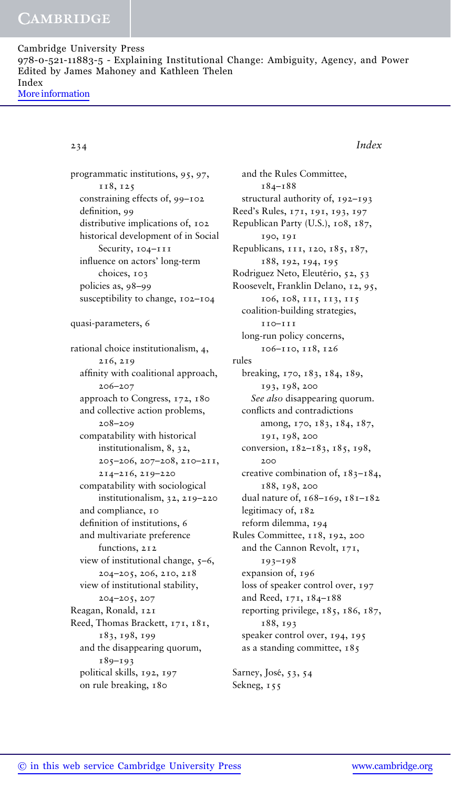978-0-521-11883-5 - Explaining Institutional Change: Ambiguity, Agency, and Power Edited by James Mahoney and Kathleen Thelen Index

[More information](http://www.cambridge.org/9780521118835)

234 *Index*

programmatic institutions, 95, 97, 118, 125 constraining effects of, 99–102 definition, 99 distributive implications of, 102 historical development of in Social Security, 104-111 influence on actors' long-term choices, 103 policies as, 98–99 susceptibility to change,  $102-104$ quasi-parameters, 6 rational choice institutionalism, 4, 216, 219 affinity with coalitional approach, 206–207 approach to Congress, 172, 180 and collective action problems, 208–209 compatability with historical institutionalism, 8, 32, 205–206, 207–208, 210–211, 214–216, 219–220 compatability with sociological institutionalism, 32, 219–220 and compliance, 10 definition of institutions, 6 and multivariate preference functions, 212 view of institutional change, 5–6, 204–205, 206, 210, 218 view of institutional stability, 204–205, 207 Reagan, Ronald, 121 Reed, Thomas Brackett, 171, 181, 183, 198, 199 and the disappearing quorum, 189–193 political skills, 192, 197 on rule breaking, 180

and the Rules Committee, 184–188 structural authority of, 192–193 Reed's Rules, 171, 191, 193, 197 Republican Party (U.S.), 108, 187, 190, 191 Republicans, 111, 120, 185, 187, 188, 192, 194, 195 Rodriguez Neto, Eleutério, 52, 53 Roosevelt, Franklin Delano, 12, 95, 106, 108, 111, 113, 115 coalition-building strategies, 110–111 long-run policy concerns, 106–110, 118, 126 rules breaking, 170, 183, 184, 189, 193, 198, 200 *See also* disappearing quorum. conflicts and contradictions among, 170, 183, 184, 187, 191, 198, 200 conversion, 182–183, 185, 198, 200 creative combination of, 183–184, 188, 198, 200 dual nature of, 168–169, 181–182 legitimacy of, 182 reform dilemma, 194 Rules Committee, 118, 192, 200 and the Cannon Revolt, 171, 193–198 expansion of, 196 loss of speaker control over, 197 and Reed, 171, 184–188 reporting privilege, 185, 186, 187, 188, 193 speaker control over, 194, 195 as a standing committee, 185

Sarney, José, 53, 54 Sekneg, 155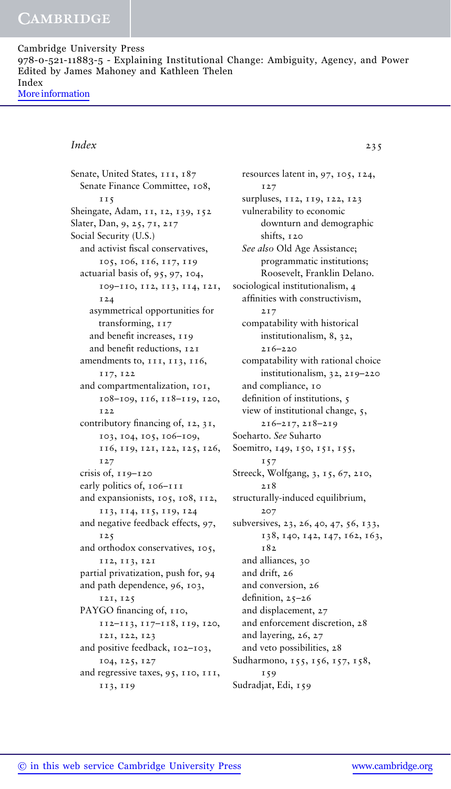978-0-521-11883-5 - Explaining Institutional Change: Ambiguity, Agency, and Power Edited by James Mahoney and Kathleen Thelen Index

[More information](http://www.cambridge.org/9780521118835)

## *Index* 235

Senate, United States, 111, 187 Senate Finance Committee, 108, 115 Sheingate, Adam, 11, 12, 139, 152 Slater, Dan, 9, 25, 71, 217 Social Security (U.S.) and activist fiscal conservatives, 105, 106, 116, 117, 119 actuarial basis of, 95, 97, 104, 109–110, 112, 113, 114, 121, 124 asymmetrical opportunities for transforming, 117 and benefit increases, 119 and benefit reductions, 121 amendments to, 111, 113, 116, 117, 122 and compartmentalization, 101, 108–109, 116, 118–119, 120, 122 contributory financing of, 12, 31, 103, 104, 105, 106–109, 116, 119, 121, 122, 125, 126, 127 crisis of, 119–120 early politics of, 106–111 and expansionists, 105, 108, 112, 113, 114, 115, 119, 124 and negative feedback effects, 97, 125 and orthodox conservatives, 105, 112, 113, 121 partial privatization, push for, 94 and path dependence, 96, 103, 121, 125 PAYGO financing of,  $110$ , 112–113, 117–118, 119, 120, 121, 122, 123 and positive feedback, 102–103, 104, 125, 127 and regressive taxes, 95, 110, 111, 113, 119

resources latent in, 97, 105, 124, 127 surpluses, 112, 119, 122, 123 vulnerability to economic downturn and demographic shifts, 120 *See also* Old Age Assistance; programmatic institutions; Roosevelt, Franklin Delano. sociological institutionalism, 4 affinities with constructivism, 217 compatability with historical institutionalism, 8, 32, 216–220 compatability with rational choice institutionalism, 32, 219–220 and compliance, 10 definition of institutions, 5 view of institutional change, 5, 216–217, 218–219 Soeharto. *See* Suharto Soemitro, 149, 150, 151, 155, 157 Streeck, Wolfgang, 3, 15, 67, 210,  $2.78$ structurally-induced equilibrium, 207 subversives, 23, 26, 40, 47, 56, 133, 138, 140, 142, 147, 162, 163, 182 and alliances, 30 and drift, 26 and conversion, 26 definition, 25–26 and displacement, 27 and enforcement discretion, 28 and layering, 26, 27 and veto possibilities, 28 Sudharmono, 155, 156, 157, 158, 159 Sudradjat, Edi, 159